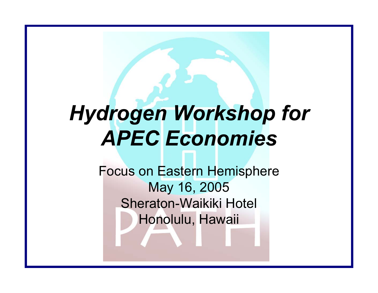#### *Hydrogen Workshop for APEC Economies*

Focus on Eastern Hemisphere May 16, 2005 Sheraton-Waikiki Hotel Honolulu, Hawaii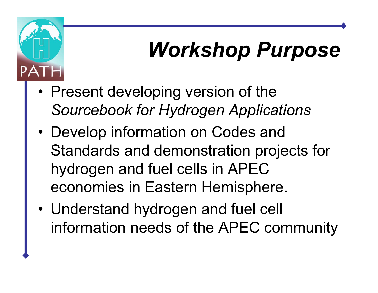# *Workshop Purpose*

•• Present developing version of the *Sourcebook for Hydrogen Applications*

PA

- • Develop information on Codes and Standards and demonstration projects for hydrogen and fuel cells in APEC economies in Eastern Hemisphere.
- • Understand hydrogen and fuel cell information needs of the APEC community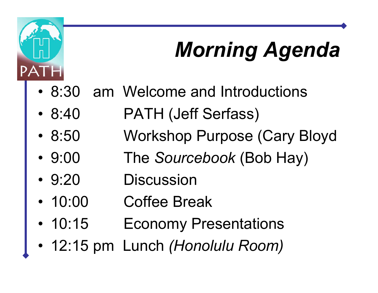# *Morning Agenda*

- •8:30 am Welcome and Introductions
- $8:40$ PATH (Jeff Serfass)
- 8:50 Workshop Purpose (Cary Bloyd
- $9:00$ 9:00 The *Sourcebook* (Bob Hay)
- $9:20$ **Discussion**

**PATH** 

- •10:00 Coffee Break
- $10:15$ **Economy Presentations**
- •12:15 pm Lunch *(Honolulu Room)*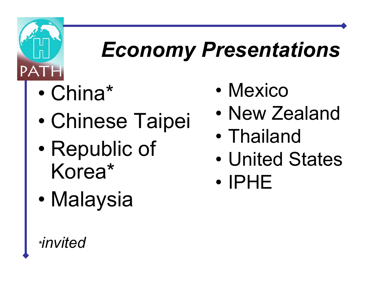

# *Economy Presentations*

- •China\*
- •Chinese Taipei
- $\bullet$ • Republic of Korea\*
- •Malaysia
- •**Mexico**
- •New Zealand
- •Thailand
- •United States
- •IPHE

*\*invited*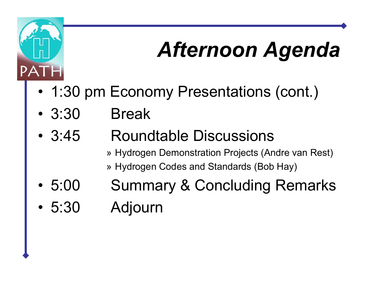# *Afternoon Agenda*

- •1:30 pm Economy Presentations (cont.)
- •3:30 Break

PATH

- $3:45$ 3:45 Roundtable Discussions
	- » H y drogen Demonstration Projects (Andre van Rest)
	- » H y drogen Codes and Standards (Bob Hay)
- •5:00 Summary & Concluding Remarks
- •5:30 Adjourn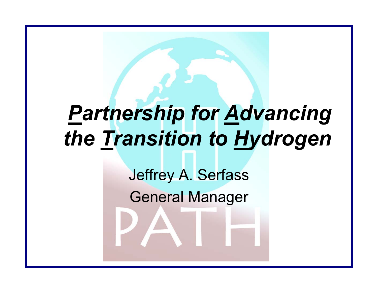# *Partnership for Advancing the Transition to Hydrogen*

Jeffrey A. Serfass

General Manager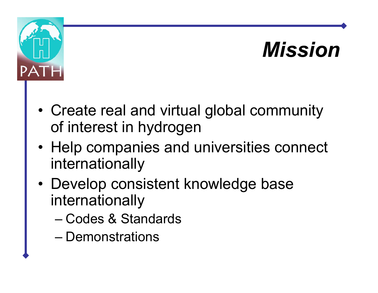# *Mission*



- • Create real and virtual global community of interest in hydrogen
- Help companies and universities connect internationally
- Develop consistent knowledge base internationally
	- Codes & Standards
	- Demonstrations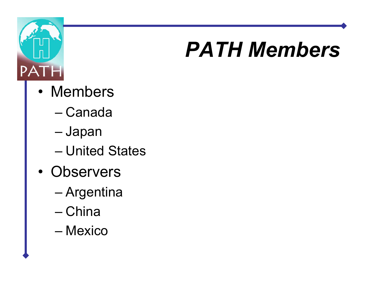

## *PATH Members*

- $\bullet$ Members
	- –Canada
	- Japan
	- –United States
- •Observers
	- Argentina
	- –China
	- Mexico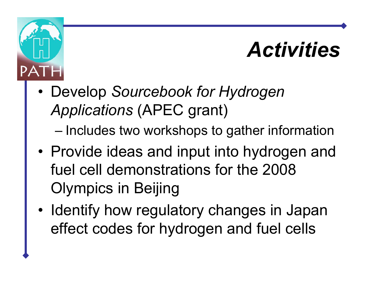#### *Activities*

• Develop *Sourcebook for Hydrogen Applications* (APEC grant)

**PAT** 

– $-$  Includes two workshops to gather information

- Provide ideas and input into hydrogen and fuel cell demonstrations for the 2008 Olympics in Beijing
- •• Identify how regulatory changes in Japan effect codes for hydrogen and fuel cells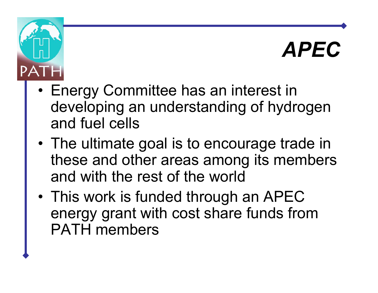#### *APEC*

• Energy Committee has an interest in developing an understanding of hydrogen and fuel cells

 $PA$ 

- The ultimate goal is to encourage trade in these and other areas among its members and with the rest of the world
- •• This work is funded through an APEC energy grant with cost share funds from PATH members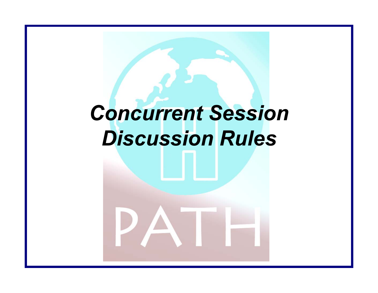#### *Concurrent Session Discussion Rules*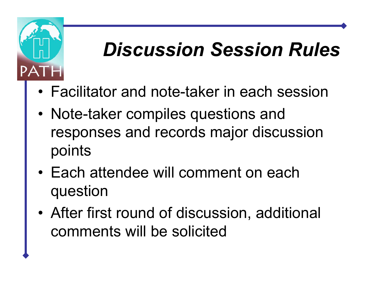

#### *Discussion Session Rules*

- •Facilitator and note-taker in each session
- •• Note-taker compiles questions and responses and records major discussion points
- •Each attendee will comment on each question
- • After first round of discussion, additional comments will be solicited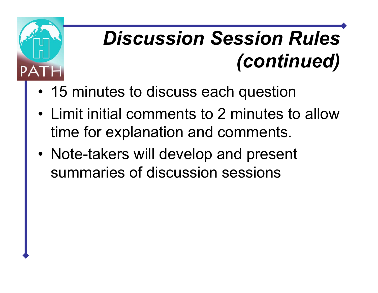

# *Discussion Session Rules (continued)*

- 15 minutes to discuss each question
- Limit initial comments to 2 minutes to allow time for explanation and comments.
- •• Note-takers will develop and present summaries of discussion sessions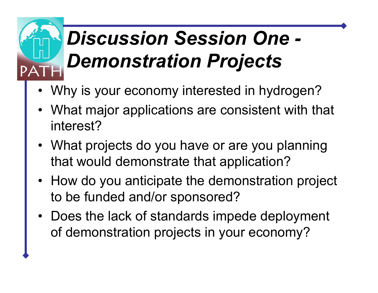# *Discussion Session One - Demonstration Projects*

- •Why is your economy interested in hydrogen?
- •What major applications are consistent with that interest?
- What projects do you have or are you planning that would demonstrate that application?
- How do you anticipate the demonstration project to be funded and/or sponsored?
- Does the lack of standards impede deployment of demonstration projects in your economy?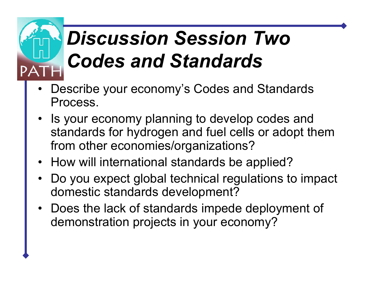# *Discussion Session Two Codes and Standards*

- •Describe your economy's Codes and Standards Process.
- • Is your economy planning to develop codes and standards for hydrogen and fuel cells or adopt them from other economies/organizations?
- How will international standards be applied?
- •Do you expect global technical regulations to impact domestic standards development?
- •Does the lack of standards impede deployment of demonstration projects in your economy?